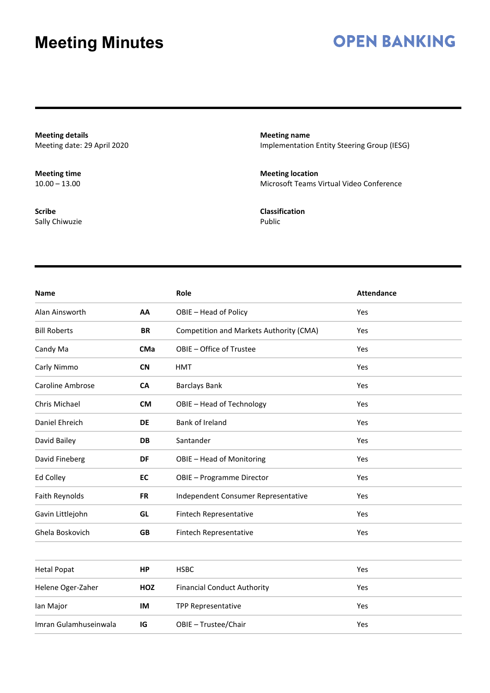### **OPEN BANKING**

**Meeting details** Meeting date: 29 April 2020

**Meeting time**  $10.00 - 13.00$ 

**Scribe** Sally Chiwuzie **Meeting name** Implementation Entity Steering Group (IESG)

**Meeting location** Microsoft Teams Virtual Video Conference

**Classification** Public

| <b>Name</b>             |            | Role                                    | <b>Attendance</b> |
|-------------------------|------------|-----------------------------------------|-------------------|
| Alan Ainsworth          | AA         | OBIE - Head of Policy                   | Yes               |
| <b>Bill Roberts</b>     | <b>BR</b>  | Competition and Markets Authority (CMA) | Yes               |
| Candy Ma                | CMa        | OBIE - Office of Trustee                | Yes               |
| Carly Nimmo             | <b>CN</b>  | <b>HMT</b>                              | Yes               |
| <b>Caroline Ambrose</b> | <b>CA</b>  | <b>Barclays Bank</b>                    | Yes               |
| Chris Michael           | <b>CM</b>  | OBIE - Head of Technology               | Yes               |
| Daniel Ehreich          | <b>DE</b>  | Bank of Ireland                         | Yes               |
| David Bailey            | DB         | Santander                               | Yes               |
| David Fineberg          | DF         | OBIE - Head of Monitoring               | Yes               |
| Ed Colley               | EC         | OBIE - Programme Director               | Yes               |
| Faith Reynolds          | <b>FR</b>  | Independent Consumer Representative     | Yes               |
| Gavin Littlejohn        | GL         | Fintech Representative                  | Yes               |
| Ghela Boskovich         | <b>GB</b>  | Fintech Representative                  | Yes               |
|                         |            |                                         |                   |
| <b>Hetal Popat</b>      | <b>HP</b>  | <b>HSBC</b>                             | Yes               |
| Helene Oger-Zaher       | <b>HOZ</b> | <b>Financial Conduct Authority</b>      | Yes               |
| Ian Major               | IM         | <b>TPP Representative</b>               | Yes               |
| Imran Gulamhuseinwala   | IG         | OBIE - Trustee/Chair                    | Yes               |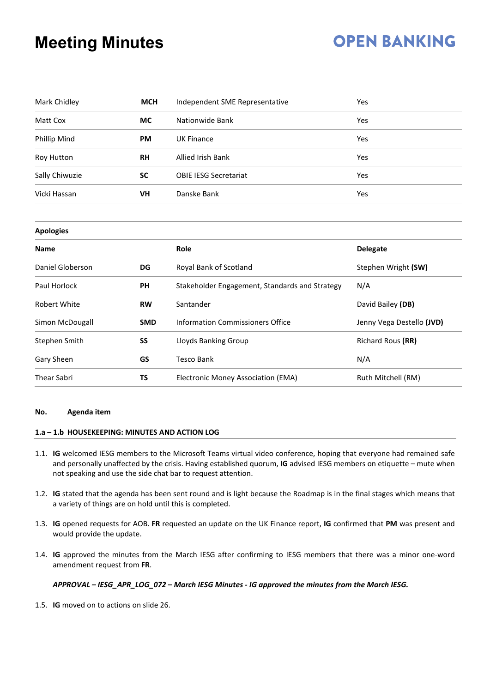# **OPEN BANKING**

| Mark Chidley        | <b>MCH</b>                                | Independent SME Representative                 | Yes                       |  |  |
|---------------------|-------------------------------------------|------------------------------------------------|---------------------------|--|--|
| Matt Cox            | <b>MC</b>                                 | Nationwide Bank                                | Yes                       |  |  |
| <b>Phillip Mind</b> | <b>PM</b>                                 | <b>UK Finance</b>                              | Yes                       |  |  |
| Roy Hutton          | <b>RH</b>                                 | <b>Allied Irish Bank</b>                       | Yes                       |  |  |
| Sally Chiwuzie      | <b>SC</b><br><b>OBIE IESG Secretariat</b> |                                                | Yes                       |  |  |
| Vicki Hassan        | VH                                        | Danske Bank                                    | Yes                       |  |  |
| <b>Apologies</b>    |                                           |                                                |                           |  |  |
| <b>Name</b>         |                                           | Role                                           | <b>Delegate</b>           |  |  |
| Daniel Globerson    | DG                                        | Royal Bank of Scotland                         | Stephen Wright (SW)       |  |  |
| Paul Horlock        | PH                                        | Stakeholder Engagement, Standards and Strategy | N/A                       |  |  |
| <b>Robert White</b> | <b>RW</b>                                 | Santander                                      | David Bailey (DB)         |  |  |
| Simon McDougall     | <b>SMD</b>                                | <b>Information Commissioners Office</b>        | Jenny Vega Destello (JVD) |  |  |
| Stephen Smith       | SS                                        | Lloyds Banking Group                           | Richard Rous (RR)         |  |  |
| Gary Sheen          | GS                                        | <b>Tesco Bank</b>                              | N/A                       |  |  |
| <b>Thear Sabri</b>  | TS                                        | Electronic Money Association (EMA)             | Ruth Mitchell (RM)        |  |  |

#### **No. Agenda item**

#### **1.a – 1.b HOUSEKEEPING: MINUTES AND ACTION LOG**

- 1.1. **IG** welcomed IESG members to the Microsoft Teams virtual video conference, hoping that everyone had remained safe and personally unaffected by the crisis. Having established quorum, **IG** advised IESG members on etiquette – mute when not speaking and use the side chat bar to request attention.
- 1.2. **IG** stated that the agenda has been sent round and is light because the Roadmap is in the final stages which means that a variety of things are on hold until this is completed.
- 1.3. **IG** opened requests for AOB. **FR** requested an update on the UK Finance report, **IG** confirmed that **PM** was present and would provide the update.
- 1.4. **IG** approved the minutes from the March IESG after confirming to IESG members that there was a minor one-word amendment request from **FR**.

#### *APPROVAL – IESG\_APR\_LOG\_072 – March IESG Minutes - IG approved the minutes from the March IESG.*

1.5. **IG** moved on to actions on slide 26.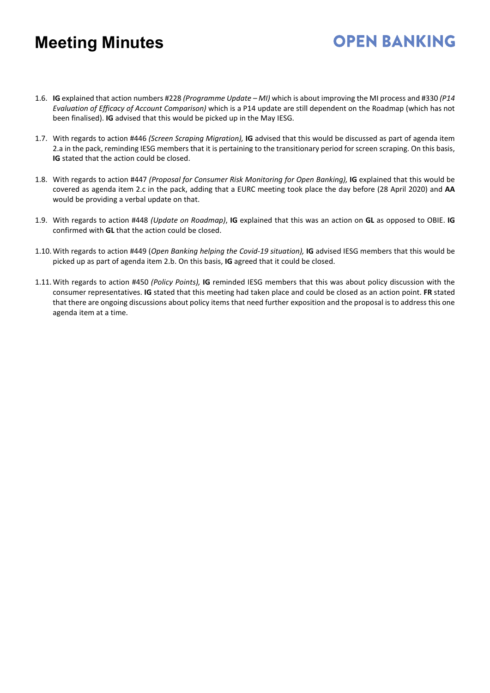1.6. **IG** explained that action numbers #228 *(Programme Update – MI)* which is about improving the MI process and #330 *(P14 Evaluation of Efficacy of Account Comparison)* which is a P14 update are still dependent on the Roadmap (which has not been finalised). **IG** advised that this would be picked up in the May IESG.

- 1.7. With regards to action #446 *(Screen Scraping Migration),* **IG** advised that this would be discussed as part of agenda item 2.a in the pack, reminding IESG members that it is pertaining to the transitionary period for screen scraping. On this basis, **IG** stated that the action could be closed.
- 1.8. With regards to action #447 *(Proposal for Consumer Risk Monitoring for Open Banking),* **IG** explained that this would be covered as agenda item 2.c in the pack, adding that a EURC meeting took place the day before (28 April 2020) and **AA** would be providing a verbal update on that.
- 1.9. With regards to action #448 *(Update on Roadmap)*, **IG** explained that this was an action on **GL** as opposed to OBIE. **IG** confirmed with **GL** that the action could be closed.
- 1.10.With regards to action #449 (*Open Banking helping the Covid-19 situation),* **IG** advised IESG members that this would be picked up as part of agenda item 2.b. On this basis, **IG** agreed that it could be closed.
- 1.11.With regards to action #450 *(Policy Points),* **IG** reminded IESG members that this was about policy discussion with the consumer representatives. **IG** stated that this meeting had taken place and could be closed as an action point. **FR** stated that there are ongoing discussions about policy items that need further exposition and the proposal is to address this one agenda item at a time.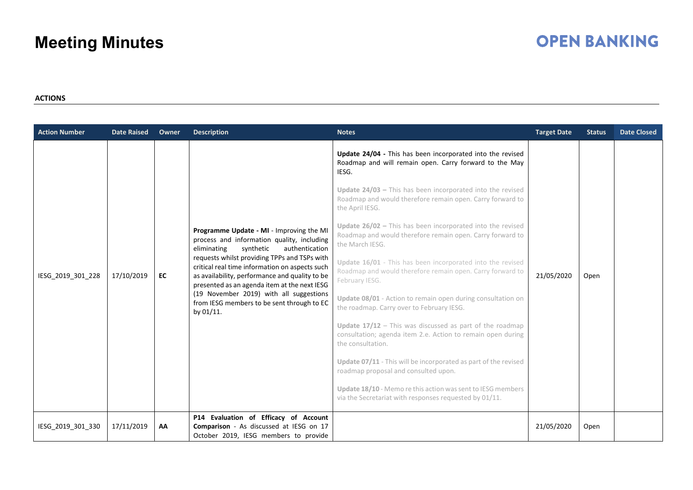# **OPEN BANKING**

#### **ACTIONS**

| <b>Action Number</b> | <b>Date Raised</b> | Owner | <b>Description</b>                                                                                                                                                                                                                                                                                                                                                                                                                             | <b>Notes</b>                                                                                                                                                                                                                                                                                                                                                                                                                                                                                                                                                             | <b>Target Date</b> | <b>Status</b> | <b>Date Closed</b> |
|----------------------|--------------------|-------|------------------------------------------------------------------------------------------------------------------------------------------------------------------------------------------------------------------------------------------------------------------------------------------------------------------------------------------------------------------------------------------------------------------------------------------------|--------------------------------------------------------------------------------------------------------------------------------------------------------------------------------------------------------------------------------------------------------------------------------------------------------------------------------------------------------------------------------------------------------------------------------------------------------------------------------------------------------------------------------------------------------------------------|--------------------|---------------|--------------------|
| IESG_2019_301_228    | 17/10/2019         | EC    | Programme Update - MI - Improving the MI<br>process and information quality, including<br>authentication<br>eliminating<br>synthetic<br>requests whilst providing TPPs and TSPs with<br>critical real time information on aspects such<br>as availability, performance and quality to be<br>presented as an agenda item at the next IESG<br>(19 November 2019) with all suggestions<br>from IESG members to be sent through to EC<br>by 01/11. | Update 24/04 - This has been incorporated into the revised<br>Roadmap and will remain open. Carry forward to the May<br>IESG.<br>Update $24/03$ – This has been incorporated into the revised<br>Roadmap and would therefore remain open. Carry forward to<br>the April IESG.<br>Update 26/02 - This has been incorporated into the revised<br>Roadmap and would therefore remain open. Carry forward to<br>the March IESG.<br>Update 16/01 - This has been incorporated into the revised<br>Roadmap and would therefore remain open. Carry forward to<br>February IESG. | 21/05/2020         | Open          |                    |
|                      |                    |       |                                                                                                                                                                                                                                                                                                                                                                                                                                                | Update 08/01 - Action to remain open during consultation on<br>the roadmap. Carry over to February IESG.<br>Update $17/12$ – This was discussed as part of the roadmap<br>consultation; agenda item 2.e. Action to remain open during<br>the consultation.<br>Update 07/11 - This will be incorporated as part of the revised<br>roadmap proposal and consulted upon.<br>Update 18/10 - Memo re this action was sent to IESG members<br>via the Secretariat with responses requested by 01/11.                                                                           |                    |               |                    |
| IESG_2019_301_330    | 17/11/2019         | AA    | P14 Evaluation of Efficacy of Account<br>Comparison - As discussed at IESG on 17<br>October 2019, IESG members to provide                                                                                                                                                                                                                                                                                                                      |                                                                                                                                                                                                                                                                                                                                                                                                                                                                                                                                                                          | 21/05/2020         | Open          |                    |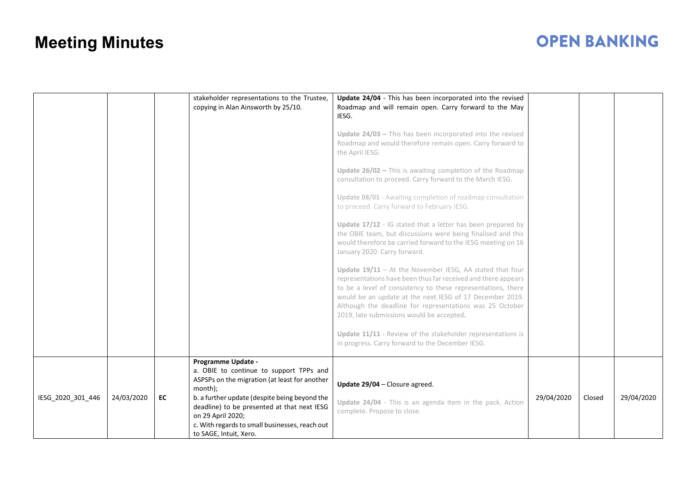|                   |            |    | stakeholder representations to the Trustee,<br>copying in Alan Ainsworth by 25/10.                                                                                                                                                             | Update 24/04 - This has been incorporated into the revised<br>Roadmap and will remain open. Carry forward to the May<br>IESG.                                                                                                                                                                                                                                    |            |        |            |
|-------------------|------------|----|------------------------------------------------------------------------------------------------------------------------------------------------------------------------------------------------------------------------------------------------|------------------------------------------------------------------------------------------------------------------------------------------------------------------------------------------------------------------------------------------------------------------------------------------------------------------------------------------------------------------|------------|--------|------------|
|                   |            |    |                                                                                                                                                                                                                                                | Update $24/03$ – This has been incorporated into the revised<br>Roadmap and would therefore remain open. Carry forward to<br>the April IESG.                                                                                                                                                                                                                     |            |        |            |
|                   |            |    |                                                                                                                                                                                                                                                | Update $26/02$ – This is awaiting completion of the Roadmap<br>consultation to proceed. Carry forward to the March IESG.                                                                                                                                                                                                                                         |            |        |            |
|                   |            |    |                                                                                                                                                                                                                                                | Update 08/01 - Awaiting completion of roadmap consultation<br>to proceed. Carry forward to February IESG.                                                                                                                                                                                                                                                        |            |        |            |
|                   |            |    |                                                                                                                                                                                                                                                | Update 17/12 - IG stated that a letter has been prepared by<br>the OBIE team, but discussions were being finalised and this<br>would therefore be carried forward to the IESG meeting on 16<br>January 2020. Carry forward.                                                                                                                                      |            |        |            |
|                   |            |    |                                                                                                                                                                                                                                                | Update $19/11$ - At the November IESG, AA stated that four<br>representations have been thus far received and there appears<br>to be a level of consistency to these representations, there<br>would be an update at the next IESG of 17 December 2019.<br>Although the deadline for representations was 25 October<br>2019, late submissions would be accepted. |            |        |            |
|                   |            |    |                                                                                                                                                                                                                                                | Update 11/11 - Review of the stakeholder representations is<br>in progress. Carry forward to the December IESG.                                                                                                                                                                                                                                                  |            |        |            |
| IESG_2020_301_446 | 24/03/2020 | EC | Programme Update -<br>a. OBIE to continue to support TPPs and<br>ASPSPs on the migration (at least for another<br>month);<br>b. a further update (despite being beyond the<br>deadline) to be presented at that next IESG<br>on 29 April 2020; | Update 29/04 - Closure agreed.<br>Update 24/04 - This is an agenda item in the pack. Action<br>complete. Propose to close.                                                                                                                                                                                                                                       | 29/04/2020 | Closed | 29/04/2020 |
|                   |            |    | c. With regards to small businesses, reach out<br>to SAGE, Intuit, Xero.                                                                                                                                                                       |                                                                                                                                                                                                                                                                                                                                                                  |            |        |            |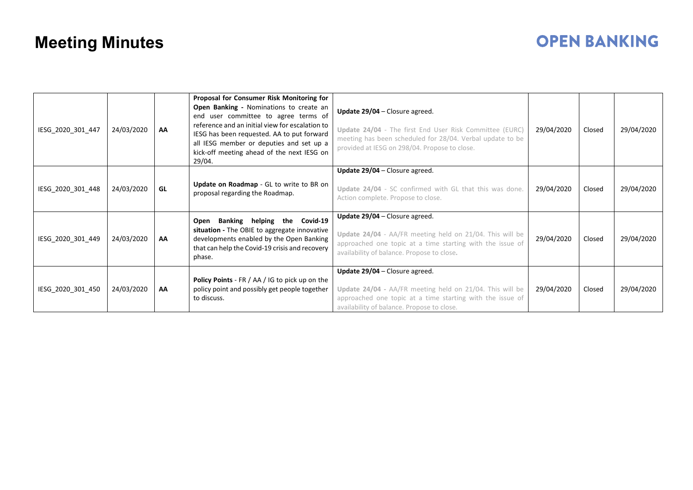| IESG_2020_301_447 | 24/03/2020 | AA | Proposal for Consumer Risk Monitoring for<br>Open Banking - Nominations to create an<br>end user committee to agree terms of<br>reference and an initial view for escalation to<br>IESG has been requested. AA to put forward<br>all IESG member or deputies and set up a<br>kick-off meeting ahead of the next IESG on<br>29/04. | Update 29/04 - Closure agreed.<br>Update 24/04 - The first End User Risk Committee (EURC)<br>meeting has been scheduled for 28/04. Verbal update to be<br>provided at IESG on 298/04. Propose to close. | 29/04/2020 | Closed | 29/04/2020 |
|-------------------|------------|----|-----------------------------------------------------------------------------------------------------------------------------------------------------------------------------------------------------------------------------------------------------------------------------------------------------------------------------------|---------------------------------------------------------------------------------------------------------------------------------------------------------------------------------------------------------|------------|--------|------------|
| IESG_2020_301_448 | 24/03/2020 | GL | Update on Roadmap - GL to write to BR on<br>proposal regarding the Roadmap.                                                                                                                                                                                                                                                       | Update 29/04 - Closure agreed.<br>Update 24/04 - SC confirmed with GL that this was done.<br>Action complete. Propose to close.                                                                         | 29/04/2020 | Closed | 29/04/2020 |
| IESG 2020 301 449 | 24/03/2020 | AA | Open Banking helping the Covid-19<br>situation - The OBIE to aggregate innovative<br>developments enabled by the Open Banking<br>that can help the Covid-19 crisis and recovery<br>phase.                                                                                                                                         | Update $29/04$ – Closure agreed.<br>Update 24/04 - AA/FR meeting held on 21/04. This will be<br>approached one topic at a time starting with the issue of<br>availability of balance. Propose to close. | 29/04/2020 | Closed | 29/04/2020 |
| IESG_2020_301_450 | 24/03/2020 | AA | Policy Points - FR / AA / IG to pick up on the<br>policy point and possibly get people together<br>to discuss.                                                                                                                                                                                                                    | Update $29/04$ – Closure agreed.<br>Update 24/04 - AA/FR meeting held on 21/04. This will be<br>approached one topic at a time starting with the issue of<br>availability of balance. Propose to close. | 29/04/2020 | Closed | 29/04/2020 |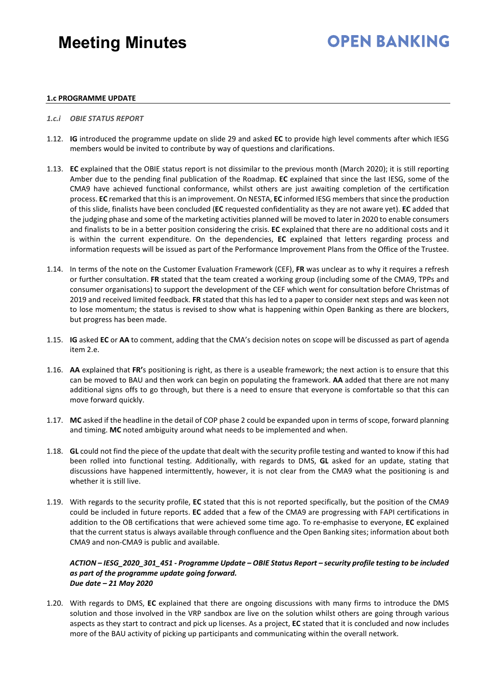## **OPEN BANKING**

#### **1.c PROGRAMME UPDATE**

- *1.c.i OBIE STATUS REPORT*
- 1.12. **IG** introduced the programme update on slide 29 and asked **EC** to provide high level comments after which IESG members would be invited to contribute by way of questions and clarifications.
- 1.13. **EC** explained that the OBIE status report is not dissimilar to the previous month (March 2020); it is still reporting Amber due to the pending final publication of the Roadmap. **EC** explained that since the last IESG, some of the CMA9 have achieved functional conformance, whilst others are just awaiting completion of the certification process. **EC** remarked that this is an improvement. On NESTA, **EC** informed IESG members that since the production of this slide, finalists have been concluded (**EC** requested confidentiality as they are not aware yet). **EC** added that the judging phase and some of the marketing activities planned will be moved to later in 2020 to enable consumers and finalists to be in a better position considering the crisis. **EC** explained that there are no additional costs and it is within the current expenditure. On the dependencies, **EC** explained that letters regarding process and information requests will be issued as part of the Performance Improvement Plans from the Office of the Trustee.
- 1.14. In terms of the note on the Customer Evaluation Framework (CEF), **FR** was unclear as to why it requires a refresh or further consultation. **FR** stated that the team created a working group (including some of the CMA9, TPPs and consumer organisations) to support the development of the CEF which went for consultation before Christmas of 2019 and received limited feedback. **FR** stated that this has led to a paper to consider next steps and was keen not to lose momentum; the status is revised to show what is happening within Open Banking as there are blockers, but progress has been made.
- 1.15. **IG** asked **EC** or **AA** to comment, adding that the CMA's decision notes on scope will be discussed as part of agenda item 2.e.
- 1.16. **AA** explained that **FR'**s positioning is right, as there is a useable framework; the next action is to ensure that this can be moved to BAU and then work can begin on populating the framework. **AA** added that there are not many additional signs offs to go through, but there is a need to ensure that everyone is comfortable so that this can move forward quickly.
- 1.17. **MC** asked if the headline in the detail of COP phase 2 could be expanded upon in terms of scope, forward planning and timing. **MC** noted ambiguity around what needs to be implemented and when.
- 1.18. **GL** could not find the piece of the update that dealt with the security profile testing and wanted to know if this had been rolled into functional testing. Additionally, with regards to DMS, **GL** asked for an update, stating that discussions have happened intermittently, however, it is not clear from the CMA9 what the positioning is and whether it is still live.
- 1.19. With regards to the security profile, **EC** stated that this is not reported specifically, but the position of the CMA9 could be included in future reports. **EC** added that a few of the CMA9 are progressing with FAPI certifications in addition to the OB certifications that were achieved some time ago. To re-emphasise to everyone, **EC** explained that the current status is always available through confluence and the Open Banking sites; information about both CMA9 and non-CMA9 is public and available.

#### *ACTION – IESG\_2020\_301\_451 - Programme Update – OBIE Status Report – security profile testing to be included as part of the programme update going forward. Due date – 21 May 2020*

1.20. With regards to DMS, **EC** explained that there are ongoing discussions with many firms to introduce the DMS solution and those involved in the VRP sandbox are live on the solution whilst others are going through various aspects as they start to contract and pick up licenses. As a project, **EC** stated that it is concluded and now includes more of the BAU activity of picking up participants and communicating within the overall network.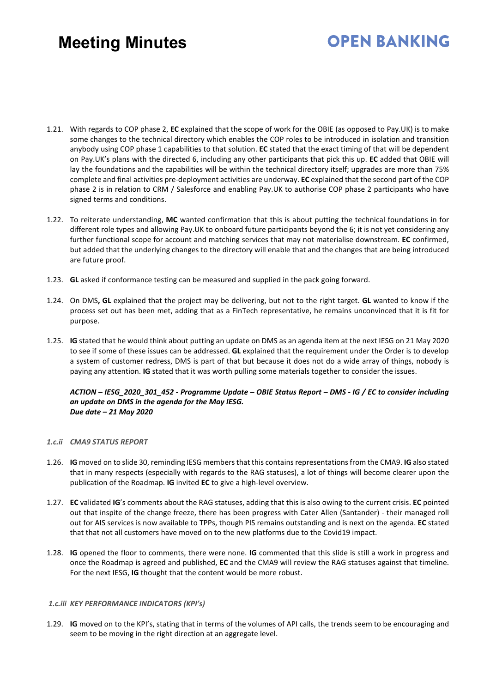# **OPEN BANKING**

- 1.21. With regards to COP phase 2, **EC** explained that the scope of work for the OBIE (as opposed to Pay.UK) is to make some changes to the technical directory which enables the COP roles to be introduced in isolation and transition anybody using COP phase 1 capabilities to that solution. **EC** stated that the exact timing of that will be dependent on Pay.UK's plans with the directed 6, including any other participants that pick this up. **EC** added that OBIE will lay the foundations and the capabilities will be within the technical directory itself; upgrades are more than 75% complete and final activities pre-deployment activities are underway. **EC** explained that the second part of the COP phase 2 is in relation to CRM / Salesforce and enabling Pay.UK to authorise COP phase 2 participants who have signed terms and conditions.
- 1.22. To reiterate understanding, **MC** wanted confirmation that this is about putting the technical foundations in for different role types and allowing Pay.UK to onboard future participants beyond the 6; it is not yet considering any further functional scope for account and matching services that may not materialise downstream. **EC** confirmed, but added that the underlying changes to the directory will enable that and the changes that are being introduced are future proof.
- 1.23. **GL** asked if conformance testing can be measured and supplied in the pack going forward.
- 1.24. On DMS**, GL** explained that the project may be delivering, but not to the right target. **GL** wanted to know if the process set out has been met, adding that as a FinTech representative, he remains unconvinced that it is fit for purpose.
- 1.25. **IG** stated that he would think about putting an update on DMS as an agenda item at the next IESG on 21 May 2020 to see if some of these issues can be addressed. **GL** explained that the requirement under the Order is to develop a system of customer redress, DMS is part of that but because it does not do a wide array of things, nobody is paying any attention. **IG** stated that it was worth pulling some materials together to consider the issues.

*ACTION – IESG\_2020\_301\_452 - Programme Update – OBIE Status Report – DMS - IG / EC to consider including an update on DMS in the agenda for the May IESG. Due date – 21 May 2020* 

#### *1.c.ii CMA9 STATUS REPORT*

- 1.26. **IG** moved on to slide 30, reminding IESG members that this containsrepresentations from the CMA9. **IG** also stated that in many respects (especially with regards to the RAG statuses), a lot of things will become clearer upon the publication of the Roadmap. **IG** invited **EC** to give a high-level overview.
- 1.27. **EC** validated **IG**'s comments about the RAG statuses, adding that this is also owing to the current crisis. **EC** pointed out that inspite of the change freeze, there has been progress with Cater Allen (Santander) - their managed roll out for AIS services is now available to TPPs, though PIS remains outstanding and is next on the agenda. **EC** stated that that not all customers have moved on to the new platforms due to the Covid19 impact.
- 1.28. **IG** opened the floor to comments, there were none. **IG** commented that this slide is still a work in progress and once the Roadmap is agreed and published, **EC** and the CMA9 will review the RAG statuses against that timeline. For the next IESG, **IG** thought that the content would be more robust.

#### *1.c.iii KEY PERFORMANCE INDICATORS (KPI's)*

1.29. **IG** moved on to the KPI's, stating that in terms of the volumes of API calls, the trends seem to be encouraging and seem to be moving in the right direction at an aggregate level.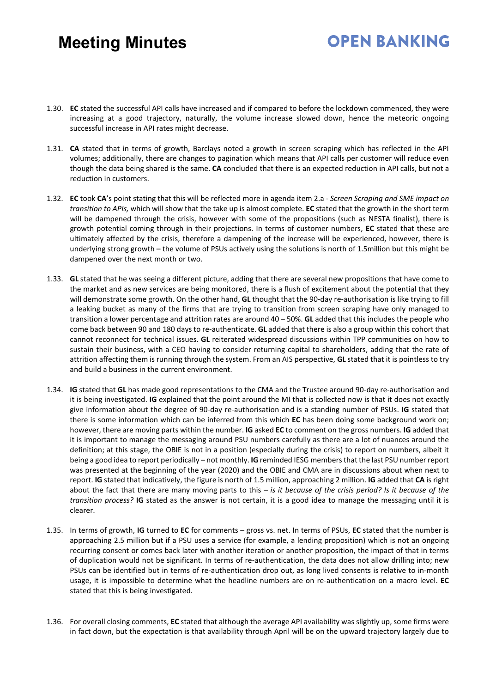- 1.30. **EC** stated the successful API calls have increased and if compared to before the lockdown commenced, they were increasing at a good trajectory, naturally, the volume increase slowed down, hence the meteoric ongoing successful increase in API rates might decrease.
- 1.31. **CA** stated that in terms of growth, Barclays noted a growth in screen scraping which has reflected in the API volumes; additionally, there are changes to pagination which means that API calls per customer will reduce even though the data being shared is the same. **CA** concluded that there is an expected reduction in API calls, but not a reduction in customers.
- 1.32. **EC** took **CA**'s point stating that this will be reflected more in agenda item 2.a *Screen Scraping and SME impact on transition to APIs,* which will show that the take up is almost complete. **EC** stated that the growth in the short term will be dampened through the crisis, however with some of the propositions (such as NESTA finalist), there is growth potential coming through in their projections. In terms of customer numbers, **EC** stated that these are ultimately affected by the crisis, therefore a dampening of the increase will be experienced, however, there is underlying strong growth – the volume of PSUs actively using the solutions is north of 1.5million but this might be dampened over the next month or two.
- 1.33. **GL** stated that he was seeing a different picture, adding that there are several new propositions that have come to the market and as new services are being monitored, there is a flush of excitement about the potential that they will demonstrate some growth. On the other hand, **GL** thought that the 90-day re-authorisation is like trying to fill a leaking bucket as many of the firms that are trying to transition from screen scraping have only managed to transition a lower percentage and attrition rates are around 40 – 50%. **GL** added that this includes the people who come back between 90 and 180 days to re-authenticate. **GL** added that there is also a group within this cohort that cannot reconnect for technical issues. **GL** reiterated widespread discussions within TPP communities on how to sustain their business, with a CEO having to consider returning capital to shareholders, adding that the rate of attrition affecting them is running through the system. From an AIS perspective, **GL** stated that it is pointless to try and build a business in the current environment.
- 1.34. **IG** stated that **GL** has made good representations to the CMA and the Trustee around 90-day re-authorisation and it is being investigated. **IG** explained that the point around the MI that is collected now is that it does not exactly give information about the degree of 90-day re-authorisation and is a standing number of PSUs. **IG** stated that there is some information which can be inferred from this which **EC** has been doing some background work on; however, there are moving parts within the number. **IG** asked **EC** to comment on the gross numbers. **IG** added that it is important to manage the messaging around PSU numbers carefully as there are a lot of nuances around the definition; at this stage, the OBIE is not in a position (especially during the crisis) to report on numbers, albeit it being a good idea to report periodically – not monthly. **IG** reminded IESG members that the last PSU number report was presented at the beginning of the year (2020) and the OBIE and CMA are in discussions about when next to report. **IG** stated that indicatively, the figure is north of 1.5 million, approaching 2 million. **IG** added that **CA** is right about the fact that there are many moving parts to this *– is it because of the crisis period? Is it because of the transition process?* **IG** stated as the answer is not certain, it is a good idea to manage the messaging until it is clearer.
- 1.35. In terms of growth, **IG** turned to **EC** for comments gross vs. net. In terms of PSUs, **EC** stated that the number is approaching 2.5 million but if a PSU uses a service (for example, a lending proposition) which is not an ongoing recurring consent or comes back later with another iteration or another proposition, the impact of that in terms of duplication would not be significant. In terms of re-authentication, the data does not allow drilling into; new PSUs can be identified but in terms of re-authentication drop out, as long lived consents is relative to in-month usage, it is impossible to determine what the headline numbers are on re-authentication on a macro level. **EC** stated that this is being investigated.
- 1.36. For overall closing comments, **EC** stated that although the average API availability was slightly up, some firms were in fact down, but the expectation is that availability through April will be on the upward trajectory largely due to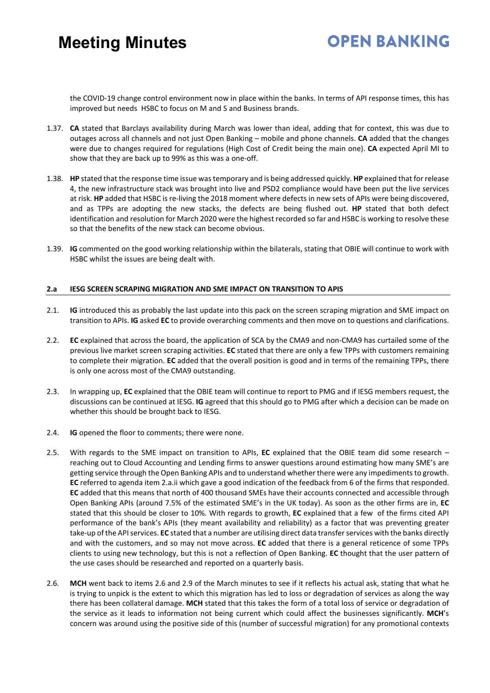### **OPEN BANKING**

the COVID-19 change control environment now in place within the banks. In terms of API response times, this has improved but needs HSBC to focus on M and S and Business brands.

- 1.37. **CA** stated that Barclays availability during March was lower than ideal, adding that for context, this was due to outages across all channels and not just Open Banking – mobile and phone channels. **CA** added that the changes were due to changes required for regulations (High Cost of Credit being the main one). **CA** expected April MI to show that they are back up to 99% as this was a one-off.
- 1.38. **HP** stated that the response time issue was temporary and is being addressed quickly. **HP** explained that for release 4, the new infrastructure stack was brought into live and PSD2 compliance would have been put the live services at risk. **HP** added that HSBC is re-living the 2018 moment where defects in new sets of APIs were being discovered, and as TPPs are adopting the new stacks, the defects are being flushed out. **HP** stated that both defect identification and resolution for March 2020 were the highest recorded so far and HSBC is working to resolve these so that the benefits of the new stack can become obvious.
- 1.39. **IG** commented on the good working relationship within the bilaterals, stating that OBIE will continue to work with HSBC whilst the issues are being dealt with.

#### **2.a IESG SCREEN SCRAPING MIGRATION AND SME IMPACT ON TRANSITION TO APIS**

- 2.1. **IG** introduced this as probably the last update into this pack on the screen scraping migration and SME impact on transition to APIs. **IG** asked **EC** to provide overarching comments and then move on to questions and clarifications.
- 2.2. **EC** explained that across the board, the application of SCA by the CMA9 and non-CMA9 has curtailed some of the previous live market screen scraping activities. **EC** stated that there are only a few TPPs with customers remaining to complete their migration. **EC** added that the overall position is good and in terms of the remaining TPPs, there is only one across most of the CMA9 outstanding.
- 2.3. In wrapping up, **EC** explained that the OBIE team will continue to report to PMG and if IESG members request, the discussions can be continued at IESG. **IG** agreed that this should go to PMG after which a decision can be made on whether this should be brought back to IESG.
- 2.4. **IG** opened the floor to comments; there were none.
- 2.5. With regards to the SME impact on transition to APIs, **EC** explained that the OBIE team did some research reaching out to Cloud Accounting and Lending firms to answer questions around estimating how many SME's are getting service through the Open Banking APIs and to understand whether there were any impediments to growth. **EC** referred to agenda item 2.a.ii which gave a good indication of the feedback from 6 of the firms that responded. **EC** added that this means that north of 400 thousand SMEs have their accounts connected and accessible through Open Banking APIs (around 7.5% of the estimated SME's in the UK today). As soon as the other firms are in, **EC** stated that this should be closer to 10%. With regards to growth, **EC** explained that a few of the firms cited API performance of the bank's APIs (they meant availability and reliability) as a factor that was preventing greater take-up of the API services. **EC** stated that a number are utilising direct data transfer services with the banks directly and with the customers, and so may not move across. **EC** added that there is a general reticence of some TPPs clients to using new technology, but this is not a reflection of Open Banking. **EC** thought that the user pattern of the use cases should be researched and reported on a quarterly basis.
- 2.6. **MCH** went back to items 2.6 and 2.9 of the March minutes to see if it reflects his actual ask, stating that what he is trying to unpick is the extent to which this migration has led to loss or degradation of services as along the way there has been collateral damage. **MCH** stated that this takes the form of a total loss of service or degradation of the service as it leads to information not being current which could affect the businesses significantly. **MCH**'s concern was around using the positive side of this (number of successful migration) for any promotional contexts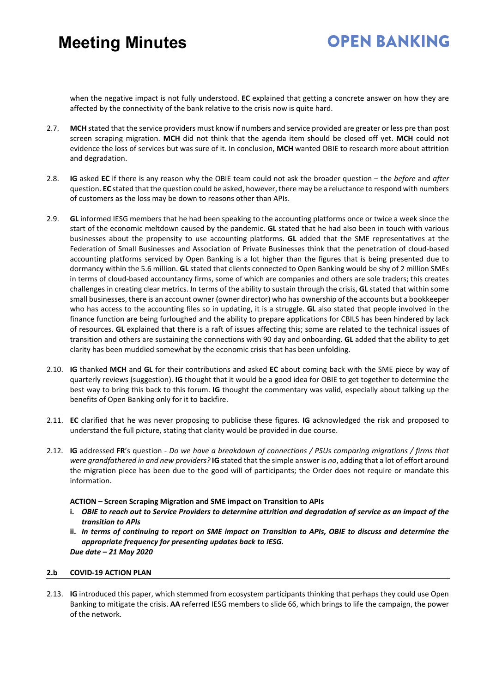# **OPEN BANKING**

when the negative impact is not fully understood. **EC** explained that getting a concrete answer on how they are affected by the connectivity of the bank relative to the crisis now is quite hard.

- 2.7. **MCH** stated that the service providers must know if numbers and service provided are greater or less pre than post screen scraping migration. **MCH** did not think that the agenda item should be closed off yet. **MCH** could not evidence the loss of services but was sure of it. In conclusion, **MCH** wanted OBIE to research more about attrition and degradation.
- 2.8. **IG** asked **EC** if there is any reason why the OBIE team could not ask the broader question the *before* and *after* question. **EC** stated that the question could be asked, however, there may be a reluctance to respond with numbers of customers as the loss may be down to reasons other than APIs.
- 2.9. **GL** informed IESG members that he had been speaking to the accounting platforms once or twice a week since the start of the economic meltdown caused by the pandemic. **GL** stated that he had also been in touch with various businesses about the propensity to use accounting platforms. **GL** added that the SME representatives at the Federation of Small Businesses and Association of Private Businesses think that the penetration of cloud-based accounting platforms serviced by Open Banking is a lot higher than the figures that is being presented due to dormancy within the 5.6 million. **GL** stated that clients connected to Open Banking would be shy of 2 million SMEs in terms of cloud-based accountancy firms, some of which are companies and others are sole traders; this creates challenges in creating clear metrics. In terms of the ability to sustain through the crisis, **GL** stated that within some small businesses, there is an account owner (owner director) who has ownership of the accounts but a bookkeeper who has access to the accounting files so in updating, it is a struggle. **GL** also stated that people involved in the finance function are being furloughed and the ability to prepare applications for CBILS has been hindered by lack of resources. **GL** explained that there is a raft of issues affecting this; some are related to the technical issues of transition and others are sustaining the connections with 90 day and onboarding. **GL** added that the ability to get clarity has been muddied somewhat by the economic crisis that has been unfolding.
- 2.10. **IG** thanked **MCH** and **GL** for their contributions and asked **EC** about coming back with the SME piece by way of quarterly reviews (suggestion). **IG** thought that it would be a good idea for OBIE to get together to determine the best way to bring this back to this forum. **IG** thought the commentary was valid, especially about talking up the benefits of Open Banking only for it to backfire.
- 2.11. **EC** clarified that he was never proposing to publicise these figures. **IG** acknowledged the risk and proposed to understand the full picture, stating that clarity would be provided in due course.
- 2.12. **IG** addressed **FR**'s question *Do we have a breakdown of connections / PSUs comparing migrations / firms that were grandfathered in and new providers?* **IG** stated that the simple answer is *no*, adding that a lot of effort around the migration piece has been due to the good will of participants; the Order does not require or mandate this information.

#### **ACTION – Screen Scraping Migration and SME impact on Transition to APIs**

- **i.** *OBIE to reach out to Service Providers to determine attrition and degradation of service as an impact of the transition to APIs*
- **ii.** *In terms of continuing to report on SME impact on Transition to APIs, OBIE to discuss and determine the appropriate frequency for presenting updates back to IESG. Due date – 21 May 2020*

#### **2.b COVID-19 ACTION PLAN**

2.13. **IG** introduced this paper, which stemmed from ecosystem participants thinking that perhaps they could use Open Banking to mitigate the crisis. **AA** referred IESG members to slide 66, which brings to life the campaign, the power of the network.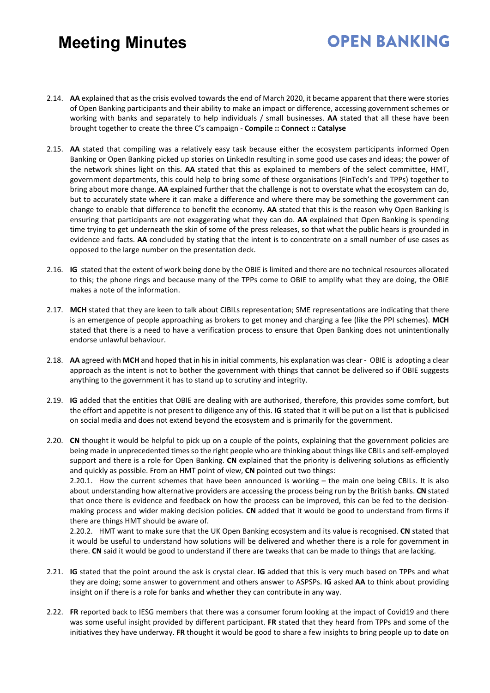# **OPEN BANKING**

- 2.14. **AA** explained that as the crisis evolved towards the end of March 2020, it became apparent that there were stories of Open Banking participants and their ability to make an impact or difference, accessing government schemes or working with banks and separately to help individuals / small businesses. **AA** stated that all these have been brought together to create the three C's campaign - **Compile :: Connect :: Catalyse**
- 2.15. **AA** stated that compiling was a relatively easy task because either the ecosystem participants informed Open Banking or Open Banking picked up stories on LinkedIn resulting in some good use cases and ideas; the power of the network shines light on this. **AA** stated that this as explained to members of the select committee, HMT, government departments, this could help to bring some of these organisations (FinTech's and TPPs) together to bring about more change. **AA** explained further that the challenge is not to overstate what the ecosystem can do, but to accurately state where it can make a difference and where there may be something the government can change to enable that difference to benefit the economy. **AA** stated that this is the reason why Open Banking is ensuring that participants are not exaggerating what they can do. **AA** explained that Open Banking is spending time trying to get underneath the skin of some of the press releases, so that what the public hears is grounded in evidence and facts. **AA** concluded by stating that the intent is to concentrate on a small number of use cases as opposed to the large number on the presentation deck.
- 2.16. **IG** stated that the extent of work being done by the OBIE is limited and there are no technical resources allocated to this; the phone rings and because many of the TPPs come to OBIE to amplify what they are doing, the OBIE makes a note of the information.
- 2.17. **MCH** stated that they are keen to talk about CIBILs representation; SME representations are indicating that there is an emergence of people approaching as brokers to get money and charging a fee (like the PPI schemes). **MCH** stated that there is a need to have a verification process to ensure that Open Banking does not unintentionally endorse unlawful behaviour.
- 2.18. **AA** agreed with **MCH** and hoped that in his in initial comments, his explanation was clear OBIE is adopting a clear approach as the intent is not to bother the government with things that cannot be delivered so if OBIE suggests anything to the government it has to stand up to scrutiny and integrity.
- 2.19. **IG** added that the entities that OBIE are dealing with are authorised, therefore, this provides some comfort, but the effort and appetite is not present to diligence any of this. **IG** stated that it will be put on a list that is publicised on social media and does not extend beyond the ecosystem and is primarily for the government.
- 2.20. **CN** thought it would be helpful to pick up on a couple of the points, explaining that the government policies are being made in unprecedented times so the right people who are thinking about things like CBILs and self-employed support and there is a role for Open Banking. **CN** explained that the priority is delivering solutions as efficiently and quickly as possible. From an HMT point of view, **CN** pointed out two things:

2.20.1. How the current schemes that have been announced is working – the main one being CBILs. It is also about understanding how alternative providers are accessing the process being run by the British banks. **CN** stated that once there is evidence and feedback on how the process can be improved, this can be fed to the decisionmaking process and wider making decision policies. **CN** added that it would be good to understand from firms if there are things HMT should be aware of.

2.20.2. HMT want to make sure that the UK Open Banking ecosystem and its value is recognised. **CN** stated that it would be useful to understand how solutions will be delivered and whether there is a role for government in there. **CN** said it would be good to understand if there are tweaks that can be made to things that are lacking.

- 2.21. **IG** stated that the point around the ask is crystal clear. **IG** added that this is very much based on TPPs and what they are doing; some answer to government and others answer to ASPSPs. **IG** asked **AA** to think about providing insight on if there is a role for banks and whether they can contribute in any way.
- 2.22. **FR** reported back to IESG members that there was a consumer forum looking at the impact of Covid19 and there was some useful insight provided by different participant. **FR** stated that they heard from TPPs and some of the initiatives they have underway. **FR** thought it would be good to share a few insights to bring people up to date on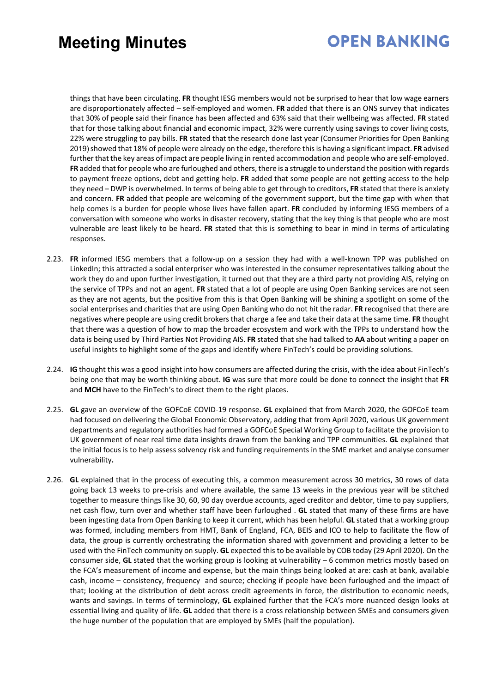### **OPEN BANKING**

things that have been circulating. **FR** thought IESG members would not be surprised to hear that low wage earners are disproportionately affected – self-employed and women. **FR** added that there is an ONS survey that indicates that 30% of people said their finance has been affected and 63% said that their wellbeing was affected. **FR** stated that for those talking about financial and economic impact, 32% were currently using savings to cover living costs, 22% were struggling to pay bills. **FR** stated that the research done last year (Consumer Priorities for Open Banking 2019)showed that 18% of people were already on the edge, therefore this is having a significant impact. **FR** advised further that the key areas of impact are people living in rented accommodation and people who are self-employed. **FR** added that for people who are furloughed and others, there is a struggle to understand the position with regards to payment freeze options, debt and getting help. **FR** added that some people are not getting access to the help they need – DWP is overwhelmed. In terms of being able to get through to creditors, **FR** stated that there is anxiety and concern. **FR** added that people are welcoming of the government support, but the time gap with when that help comes is a burden for people whose lives have fallen apart. **FR** concluded by informing IESG members of a conversation with someone who works in disaster recovery, stating that the key thing is that people who are most vulnerable are least likely to be heard. **FR** stated that this is something to bear in mind in terms of articulating responses.

- 2.23. **FR** informed IESG members that a follow-up on a session they had with a well-known TPP was published on LinkedIn; this attracted a social enterpriser who was interested in the consumer representatives talking about the work they do and upon further investigation, it turned out that they are a third party not providing AIS, relying on the service of TPPs and not an agent. **FR** stated that a lot of people are using Open Banking services are not seen as they are not agents, but the positive from this is that Open Banking will be shining a spotlight on some of the social enterprises and charities that are using Open Banking who do not hit the radar. **FR** recognised that there are negatives where people are using credit brokers that charge a fee and take their data at the same time. **FR** thought that there was a question of how to map the broader ecosystem and work with the TPPs to understand how the data is being used by Third Parties Not Providing AIS. **FR** stated that she had talked to **AA** about writing a paper on useful insights to highlight some of the gaps and identify where FinTech's could be providing solutions.
- 2.24. **IG** thought this was a good insight into how consumers are affected during the crisis, with the idea about FinTech's being one that may be worth thinking about. **IG** was sure that more could be done to connect the insight that **FR** and **MCH** have to the FinTech's to direct them to the right places.
- 2.25. **GL** gave an overview of the GOFCoE COVID-19 response. **GL** explained that from March 2020, the GOFCoE team had focused on delivering the Global Economic Observatory, adding that from April 2020, various UK government departments and regulatory authorities had formed a GOFCoE Special Working Group to facilitate the provision to UK government of near real time data insights drawn from the banking and TPP communities. **GL** explained that the initial focus is to help assess solvency risk and funding requirements in the SME market and analyse consumer vulnerability**.**
- 2.26. **GL** explained that in the process of executing this, a common measurement across 30 metrics, 30 rows of data going back 13 weeks to pre-crisis and where available, the same 13 weeks in the previous year will be stitched together to measure things like 30, 60, 90 day overdue accounts, aged creditor and debtor, time to pay suppliers, net cash flow, turn over and whether staff have been furloughed . **GL** stated that many of these firms are have been ingesting data from Open Banking to keep it current, which has been helpful. **GL** stated that a working group was formed, including members from HMT, Bank of England, FCA, BEIS and ICO to help to facilitate the flow of data, the group is currently orchestrating the information shared with government and providing a letter to be used with the FinTech community on supply. **GL** expected this to be available by COB today (29 April 2020). On the consumer side, **GL** stated that the working group is looking at vulnerability – 6 common metrics mostly based on the FCA's measurement of income and expense, but the main things being looked at are: cash at bank, available cash, income – consistency, frequency and source; checking if people have been furloughed and the impact of that; looking at the distribution of debt across credit agreements in force, the distribution to economic needs, wants and savings. In terms of terminology, **GL** explained further that the FCA's more nuanced design looks at essential living and quality of life. **GL** added that there is a cross relationship between SMEs and consumers given the huge number of the population that are employed by SMEs (half the population).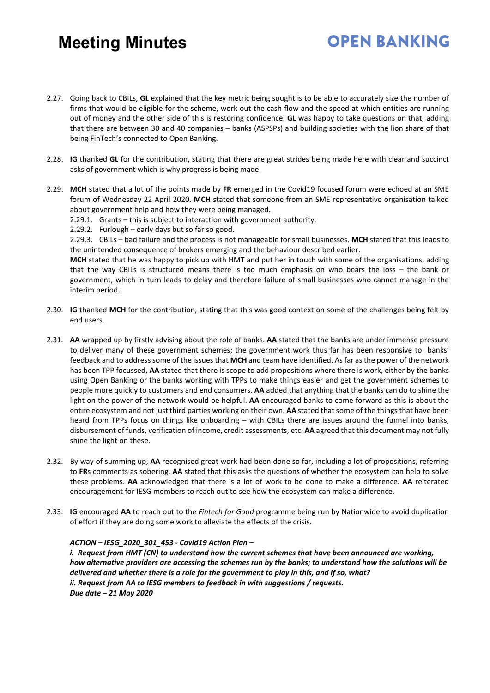2.27. Going back to CBILs, **GL** explained that the key metric being sought is to be able to accurately size the number of firms that would be eligible for the scheme, work out the cash flow and the speed at which entities are running out of money and the other side of this is restoring confidence. **GL** was happy to take questions on that, adding that there are between 30 and 40 companies – banks (ASPSPs) and building societies with the lion share of that being FinTech's connected to Open Banking.

**OPEN BANKING** 

- 2.28. **IG** thanked **GL** for the contribution, stating that there are great strides being made here with clear and succinct asks of government which is why progress is being made.
- 2.29. **MCH** stated that a lot of the points made by **FR** emerged in the Covid19 focused forum were echoed at an SME forum of Wednesday 22 April 2020. **MCH** stated that someone from an SME representative organisation talked about government help and how they were being managed.
	- 2.29.1. Grants this is subject to interaction with government authority.
	- 2.29.2. Furlough early days but so far so good.

2.29.3. CBILs – bad failure and the process is not manageable for small businesses. **MCH** stated that this leads to the unintended consequence of brokers emerging and the behaviour described earlier.

**MCH** stated that he was happy to pick up with HMT and put her in touch with some of the organisations, adding that the way CBILs is structured means there is too much emphasis on who bears the loss – the bank or government, which in turn leads to delay and therefore failure of small businesses who cannot manage in the interim period.

- 2.30. **IG** thanked **MCH** for the contribution, stating that this was good context on some of the challenges being felt by end users.
- 2.31. **AA** wrapped up by firstly advising about the role of banks. **AA** stated that the banks are under immense pressure to deliver many of these government schemes; the government work thus far has been responsive to banks' feedback and to address some of the issues that **MCH** and team have identified. As far as the power of the network has been TPP focussed, **AA** stated that there is scope to add propositions where there is work, either by the banks using Open Banking or the banks working with TPPs to make things easier and get the government schemes to people more quickly to customers and end consumers. **AA** added that anything that the banks can do to shine the light on the power of the network would be helpful. **AA** encouraged banks to come forward as this is about the entire ecosystem and not just third parties working on their own. **AA** stated that some of the things that have been heard from TPPs focus on things like onboarding – with CBILs there are issues around the funnel into banks, disbursement of funds, verification of income, credit assessments, etc. **AA** agreed that this document may not fully shine the light on these.
- 2.32. By way of summing up, **AA** recognised great work had been done so far, including a lot of propositions, referring to **FR**s comments as sobering. **AA** stated that this asks the questions of whether the ecosystem can help to solve these problems. **AA** acknowledged that there is a lot of work to be done to make a difference. **AA** reiterated encouragement for IESG members to reach out to see how the ecosystem can make a difference.
- 2.33. **IG** encouraged **AA** to reach out to the *Fintech for Good* programme being run by Nationwide to avoid duplication of effort if they are doing some work to alleviate the effects of the crisis.

#### *ACTION – IESG\_2020\_301\_453 - Covid19 Action Plan –*

*i. Request from HMT (CN) to understand how the current schemes that have been announced are working, how alternative providers are accessing the schemes run by the banks; to understand how the solutions will be delivered and whether there is a role for the government to play in this, and if so, what? ii. Request from AA to IESG members to feedback in with suggestions / requests. Due date – 21 May 2020*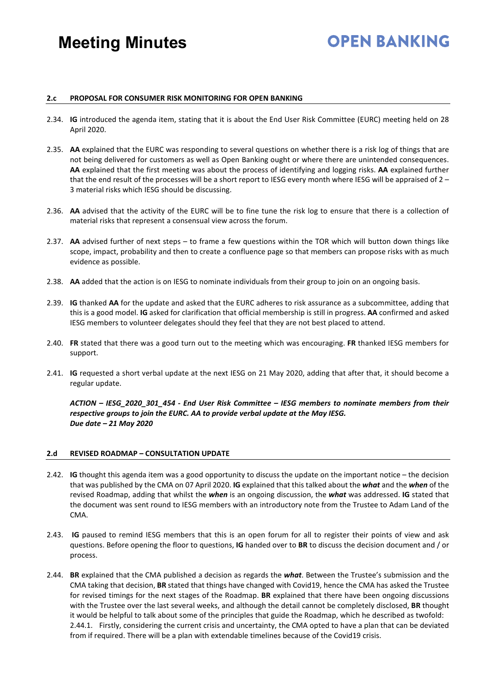# **OPEN BANKING**

#### **2.c PROPOSAL FOR CONSUMER RISK MONITORING FOR OPEN BANKING**

- 2.34. **IG** introduced the agenda item, stating that it is about the End User Risk Committee (EURC) meeting held on 28 April 2020.
- 2.35. **AA** explained that the EURC was responding to several questions on whether there is a risk log of things that are not being delivered for customers as well as Open Banking ought or where there are unintended consequences. **AA** explained that the first meeting was about the process of identifying and logging risks. **AA** explained further that the end result of the processes will be a short report to IESG every month where IESG will be appraised of 2 – 3 material risks which IESG should be discussing.
- 2.36. **AA** advised that the activity of the EURC will be to fine tune the risk log to ensure that there is a collection of material risks that represent a consensual view across the forum.
- 2.37. **AA** advised further of next steps to frame a few questions within the TOR which will button down things like scope, impact, probability and then to create a confluence page so that members can propose risks with as much evidence as possible.
- 2.38. **AA** added that the action is on IESG to nominate individuals from their group to join on an ongoing basis.
- 2.39. **IG** thanked **AA** for the update and asked that the EURC adheres to risk assurance as a subcommittee, adding that this is a good model. **IG** asked for clarification that official membership is still in progress. **AA** confirmed and asked IESG members to volunteer delegates should they feel that they are not best placed to attend.
- 2.40. **FR** stated that there was a good turn out to the meeting which was encouraging. **FR** thanked IESG members for support.
- 2.41. **IG** requested a short verbal update at the next IESG on 21 May 2020, adding that after that, it should become a regular update.

*ACTION – IESG\_2020\_301\_454 - End User Risk Committee – IESG members to nominate members from their respective groups to join the EURC. AA to provide verbal update at the May IESG. Due date – 21 May 2020* 

#### **2.d REVISED ROADMAP – CONSULTATION UPDATE**

- 2.42. **IG** thought this agenda item was a good opportunity to discuss the update on the important notice the decision that was published by the CMA on 07 April 2020. **IG** explained that this talked about the *what* and the *when* of the revised Roadmap, adding that whilst the *when* is an ongoing discussion, the *what* was addressed. **IG** stated that the document was sent round to IESG members with an introductory note from the Trustee to Adam Land of the **CMA**
- 2.43. **IG** paused to remind IESG members that this is an open forum for all to register their points of view and ask questions. Before opening the floor to questions, **IG** handed over to **BR** to discuss the decision document and / or process.
- 2.44. **BR** explained that the CMA published a decision as regards the *what*. Between the Trustee's submission and the CMA taking that decision, **BR** stated that things have changed with Covid19, hence the CMA has asked the Trustee for revised timings for the next stages of the Roadmap. **BR** explained that there have been ongoing discussions with the Trustee over the last several weeks, and although the detail cannot be completely disclosed, **BR** thought it would be helpful to talk about some of the principles that guide the Roadmap, which he described as twofold: 2.44.1. Firstly, considering the current crisis and uncertainty, the CMA opted to have a plan that can be deviated from if required. There will be a plan with extendable timelines because of the Covid19 crisis.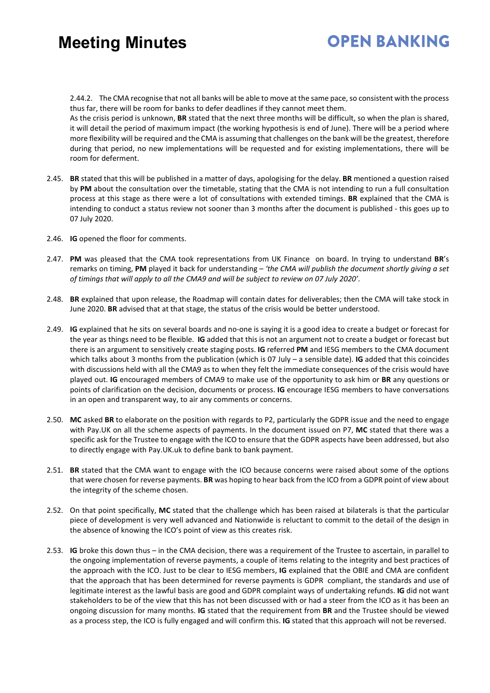### **OPEN BANKING**

2.44.2. The CMA recognise that not all banks will be able to move at the same pace, so consistent with the process thus far, there will be room for banks to defer deadlines if they cannot meet them.

As the crisis period is unknown, **BR** stated that the next three months will be difficult, so when the plan is shared, it will detail the period of maximum impact (the working hypothesis is end of June). There will be a period where more flexibility will be required and the CMA is assuming that challenges on the bank will be the greatest, therefore during that period, no new implementations will be requested and for existing implementations, there will be room for deferment.

- 2.45. **BR** stated that this will be published in a matter of days, apologising for the delay. **BR** mentioned a question raised by **PM** about the consultation over the timetable, stating that the CMA is not intending to run a full consultation process at this stage as there were a lot of consultations with extended timings. **BR** explained that the CMA is intending to conduct a status review not sooner than 3 months after the document is published - this goes up to 07 July 2020.
- 2.46. **IG** opened the floor for comments.
- 2.47. **PM** was pleased that the CMA took representations from UK Finance on board. In trying to understand **BR**'s remarks on timing, **PM** played it back for understanding – *'the CMA will publish the document shortly giving a set of timings that will apply to all the CMA9 and will be subject to review on 07 July 2020'*.
- 2.48. **BR** explained that upon release, the Roadmap will contain dates for deliverables; then the CMA will take stock in June 2020. **BR** advised that at that stage, the status of the crisis would be better understood.
- 2.49. **IG** explained that he sits on several boards and no-one is saying it is a good idea to create a budget or forecast for the year as things need to be flexible. **IG** added that this is not an argument not to create a budget or forecast but there is an argument to sensitively create staging posts. **IG** referred **PM** and IESG members to the CMA document which talks about 3 months from the publication (which is 07 July – a sensible date). **IG** added that this coincides with discussions held with all the CMA9 as to when they felt the immediate consequences of the crisis would have played out. **IG** encouraged members of CMA9 to make use of the opportunity to ask him or **BR** any questions or points of clarification on the decision, documents or process. **IG** encourage IESG members to have conversations in an open and transparent way, to air any comments or concerns.
- 2.50. **MC** asked **BR** to elaborate on the position with regards to P2, particularly the GDPR issue and the need to engage with Pay.UK on all the scheme aspects of payments. In the document issued on P7, **MC** stated that there was a specific ask for the Trustee to engage with the ICO to ensure that the GDPR aspects have been addressed, but also to directly engage with Pay.UK.uk to define bank to bank payment.
- 2.51. **BR** stated that the CMA want to engage with the ICO because concerns were raised about some of the options that were chosen for reverse payments. **BR** was hoping to hear back from the ICO from a GDPR point of view about the integrity of the scheme chosen.
- 2.52. On that point specifically, **MC** stated that the challenge which has been raised at bilaterals is that the particular piece of development is very well advanced and Nationwide is reluctant to commit to the detail of the design in the absence of knowing the ICO's point of view as this creates risk.
- 2.53. **IG** broke this down thus in the CMA decision, there was a requirement of the Trustee to ascertain, in parallel to the ongoing implementation of reverse payments, a couple of items relating to the integrity and best practices of the approach with the ICO. Just to be clear to IESG members, **IG** explained that the OBIE and CMA are confident that the approach that has been determined for reverse payments is GDPR compliant, the standards and use of legitimate interest as the lawful basis are good and GDPR complaint ways of undertaking refunds. **IG** did not want stakeholders to be of the view that this has not been discussed with or had a steer from the ICO as it has been an ongoing discussion for many months. **IG** stated that the requirement from **BR** and the Trustee should be viewed as a process step, the ICO is fully engaged and will confirm this. **IG** stated that this approach will not be reversed.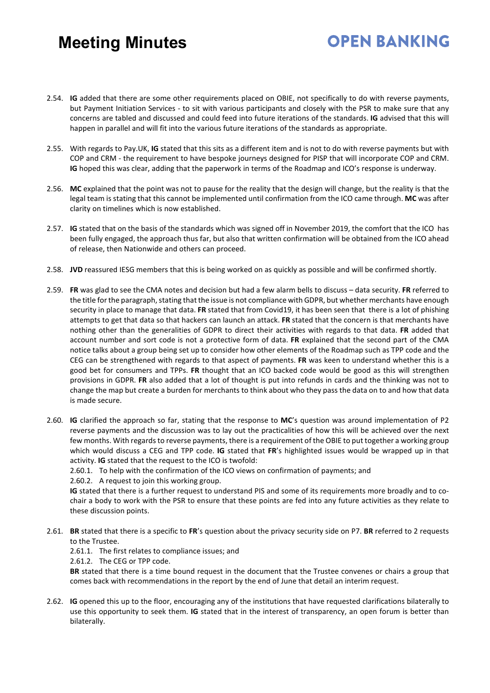2.54. **IG** added that there are some other requirements placed on OBIE, not specifically to do with reverse payments, but Payment Initiation Services - to sit with various participants and closely with the PSR to make sure that any concerns are tabled and discussed and could feed into future iterations of the standards. **IG** advised that this will happen in parallel and will fit into the various future iterations of the standards as appropriate.

**OPEN BANKING** 

- 2.55. With regards to Pay.UK, **IG** stated that this sits as a different item and is not to do with reverse payments but with COP and CRM - the requirement to have bespoke journeys designed for PISP that will incorporate COP and CRM. **IG** hoped this was clear, adding that the paperwork in terms of the Roadmap and ICO's response is underway.
- 2.56. **MC** explained that the point was not to pause for the reality that the design will change, but the reality is that the legal team is stating that this cannot be implemented until confirmation from the ICO came through. **MC** was after clarity on timelines which is now established.
- 2.57. **IG** stated that on the basis of the standards which was signed off in November 2019, the comfort that the ICO has been fully engaged, the approach thus far, but also that written confirmation will be obtained from the ICO ahead of release, then Nationwide and others can proceed.
- 2.58. **JVD** reassured IESG members that this is being worked on as quickly as possible and will be confirmed shortly.
- 2.59. **FR** was glad to see the CMA notes and decision but had a few alarm bells to discuss data security. **FR** referred to the title for the paragraph, stating that the issue is not compliance with GDPR, but whether merchants have enough security in place to manage that data. **FR** stated that from Covid19, it has been seen that there is a lot of phishing attempts to get that data so that hackers can launch an attack. **FR** stated that the concern is that merchants have nothing other than the generalities of GDPR to direct their activities with regards to that data. **FR** added that account number and sort code is not a protective form of data. **FR** explained that the second part of the CMA notice talks about a group being set up to consider how other elements of the Roadmap such as TPP code and the CEG can be strengthened with regards to that aspect of payments. **FR** was keen to understand whether this is a good bet for consumers and TPPs. **FR** thought that an ICO backed code would be good as this will strengthen provisions in GDPR. **FR** also added that a lot of thought is put into refunds in cards and the thinking was not to change the map but create a burden for merchants to think about who they pass the data on to and how that data is made secure.
- 2.60. **IG** clarified the approach so far, stating that the response to **MC**'s question was around implementation of P2 reverse payments and the discussion was to lay out the practicalities of how this will be achieved over the next few months. With regards to reverse payments, there is a requirement of the OBIE to put together a working group which would discuss a CEG and TPP code. **IG** stated that **FR**'s highlighted issues would be wrapped up in that activity. **IG** stated that the request to the ICO is twofold:

2.60.1. To help with the confirmation of the ICO views on confirmation of payments; and

2.60.2. A request to join this working group.

**IG** stated that there is a further request to understand PIS and some of its requirements more broadly and to cochair a body to work with the PSR to ensure that these points are fed into any future activities as they relate to these discussion points.

- 2.61. **BR** stated that there is a specific to **FR**'s question about the privacy security side on P7. **BR** referred to 2 requests to the Trustee.
	- 2.61.1. The first relates to compliance issues; and

2.61.2. The CEG or TPP code.

**BR** stated that there is a time bound request in the document that the Trustee convenes or chairs a group that comes back with recommendations in the report by the end of June that detail an interim request.

2.62. **IG** opened this up to the floor, encouraging any of the institutions that have requested clarifications bilaterally to use this opportunity to seek them. **IG** stated that in the interest of transparency, an open forum is better than bilaterally.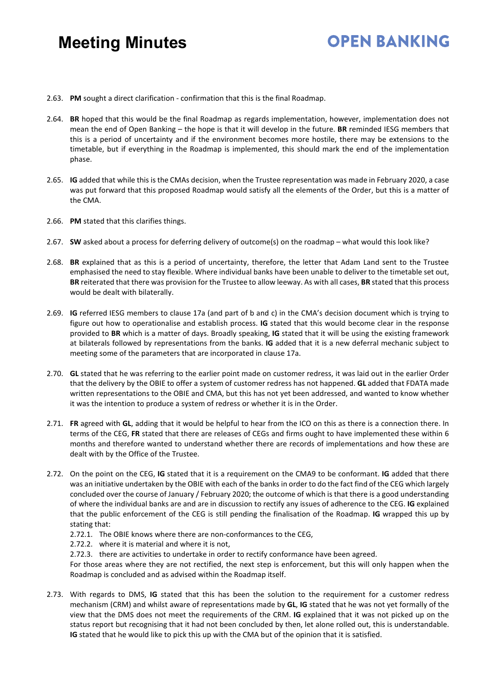### **OPEN BANKING**

- 2.63. **PM** sought a direct clarification confirmation that this is the final Roadmap.
- 2.64. **BR** hoped that this would be the final Roadmap as regards implementation, however, implementation does not mean the end of Open Banking – the hope is that it will develop in the future. **BR** reminded IESG members that this is a period of uncertainty and if the environment becomes more hostile, there may be extensions to the timetable, but if everything in the Roadmap is implemented, this should mark the end of the implementation phase.
- 2.65. **IG** added that while this is the CMAs decision, when the Trustee representation was made in February 2020, a case was put forward that this proposed Roadmap would satisfy all the elements of the Order, but this is a matter of the CMA.
- 2.66. **PM** stated that this clarifies things.
- 2.67. **SW** asked about a process for deferring delivery of outcome(s) on the roadmap what would this look like?
- 2.68. **BR** explained that as this is a period of uncertainty, therefore, the letter that Adam Land sent to the Trustee emphasised the need to stay flexible. Where individual banks have been unable to deliver to the timetable set out, **BR** reiterated that there was provision for the Trustee to allow leeway. As with all cases, **BR** stated that this process would be dealt with bilaterally.
- 2.69. **IG** referred IESG members to clause 17a (and part of b and c) in the CMA's decision document which is trying to figure out how to operationalise and establish process. **IG** stated that this would become clear in the response provided to **BR** which is a matter of days. Broadly speaking, **IG** stated that it will be using the existing framework at bilaterals followed by representations from the banks. **IG** added that it is a new deferral mechanic subject to meeting some of the parameters that are incorporated in clause 17a.
- 2.70. **GL** stated that he was referring to the earlier point made on customer redress, it was laid out in the earlier Order that the delivery by the OBIE to offer a system of customer redress has not happened. **GL** added that FDATA made written representations to the OBIE and CMA, but this has not yet been addressed, and wanted to know whether it was the intention to produce a system of redress or whether it is in the Order.
- 2.71. **FR** agreed with **GL**, adding that it would be helpful to hear from the ICO on this as there is a connection there. In terms of the CEG, **FR** stated that there are releases of CEGs and firms ought to have implemented these within 6 months and therefore wanted to understand whether there are records of implementations and how these are dealt with by the Office of the Trustee.
- 2.72. On the point on the CEG, **IG** stated that it is a requirement on the CMA9 to be conformant. **IG** added that there was an initiative undertaken by the OBIE with each of the banks in order to do the fact find of the CEG which largely concluded over the course of January / February 2020; the outcome of which is that there is a good understanding of where the individual banks are and are in discussion to rectify any issues of adherence to the CEG. **IG** explained that the public enforcement of the CEG is still pending the finalisation of the Roadmap. **IG** wrapped this up by stating that:
	- 2.72.1. The OBIE knows where there are non-conformances to the CEG,
	- 2.72.2. where it is material and where it is not,
	- 2.72.3. there are activities to undertake in order to rectify conformance have been agreed.

For those areas where they are not rectified, the next step is enforcement, but this will only happen when the Roadmap is concluded and as advised within the Roadmap itself.

2.73. With regards to DMS, **IG** stated that this has been the solution to the requirement for a customer redress mechanism (CRM) and whilst aware of representations made by **GL**, **IG** stated that he was not yet formally of the view that the DMS does not meet the requirements of the CRM. **IG** explained that it was not picked up on the status report but recognising that it had not been concluded by then, let alone rolled out, this is understandable. **IG** stated that he would like to pick this up with the CMA but of the opinion that it is satisfied.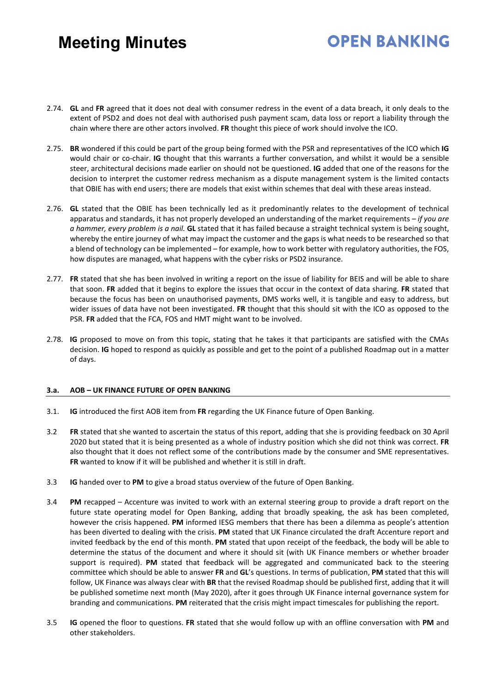# **OPEN BANKING**

- 2.74. **GL** and **FR** agreed that it does not deal with consumer redress in the event of a data breach, it only deals to the extent of PSD2 and does not deal with authorised push payment scam, data loss or report a liability through the chain where there are other actors involved. **FR** thought this piece of work should involve the ICO.
- 2.75. **BR** wondered if this could be part of the group being formed with the PSR and representatives of the ICO which **IG** would chair or co-chair. **IG** thought that this warrants a further conversation, and whilst it would be a sensible steer, architectural decisions made earlier on should not be questioned. **IG** added that one of the reasons for the decision to interpret the customer redress mechanism as a dispute management system is the limited contacts that OBIE has with end users; there are models that exist within schemes that deal with these areas instead.
- 2.76. **GL** stated that the OBIE has been technically led as it predominantly relates to the development of technical apparatus and standards, it has not properly developed an understanding of the market requirements *– if you are a hammer, every problem is a nail.* **GL** stated that it has failed because a straight technical system is being sought, whereby the entire journey of what may impact the customer and the gaps is what needs to be researched so that a blend of technology can be implemented – for example, how to work better with regulatory authorities, the FOS, how disputes are managed, what happens with the cyber risks or PSD2 insurance.
- 2.77. **FR** stated that she has been involved in writing a report on the issue of liability for BEIS and will be able to share that soon. **FR** added that it begins to explore the issues that occur in the context of data sharing. **FR** stated that because the focus has been on unauthorised payments, DMS works well, it is tangible and easy to address, but wider issues of data have not been investigated. **FR** thought that this should sit with the ICO as opposed to the PSR. **FR** added that the FCA, FOS and HMT might want to be involved.
- 2.78. **IG** proposed to move on from this topic, stating that he takes it that participants are satisfied with the CMAs decision. **IG** hoped to respond as quickly as possible and get to the point of a published Roadmap out in a matter of days.

#### **3.a. AOB – UK FINANCE FUTURE OF OPEN BANKING**

- 3.1. **IG** introduced the first AOB item from **FR** regarding the UK Finance future of Open Banking.
- 3.2 **FR** stated that she wanted to ascertain the status of this report, adding that she is providing feedback on 30 April 2020 but stated that it is being presented as a whole of industry position which she did not think was correct. **FR** also thought that it does not reflect some of the contributions made by the consumer and SME representatives. **FR** wanted to know if it will be published and whether it is still in draft.
- 3.3 **IG** handed over to **PM** to give a broad status overview of the future of Open Banking.
- 3.4 **PM** recapped Accenture was invited to work with an external steering group to provide a draft report on the future state operating model for Open Banking, adding that broadly speaking, the ask has been completed, however the crisis happened. **PM** informed IESG members that there has been a dilemma as people's attention has been diverted to dealing with the crisis. **PM** stated that UK Finance circulated the draft Accenture report and invited feedback by the end of this month. **PM** stated that upon receipt of the feedback, the body will be able to determine the status of the document and where it should sit (with UK Finance members or whether broader support is required). **PM** stated that feedback will be aggregated and communicated back to the steering committee which should be able to answer **FR** and **GL**'s questions. In terms of publication, **PM** stated that this will follow, UK Finance was always clear with **BR** that the revised Roadmap should be published first, adding that it will be published sometime next month (May 2020), after it goes through UK Finance internal governance system for branding and communications. **PM** reiterated that the crisis might impact timescales for publishing the report.
- 3.5 **IG** opened the floor to questions. **FR** stated that she would follow up with an offline conversation with **PM** and other stakeholders.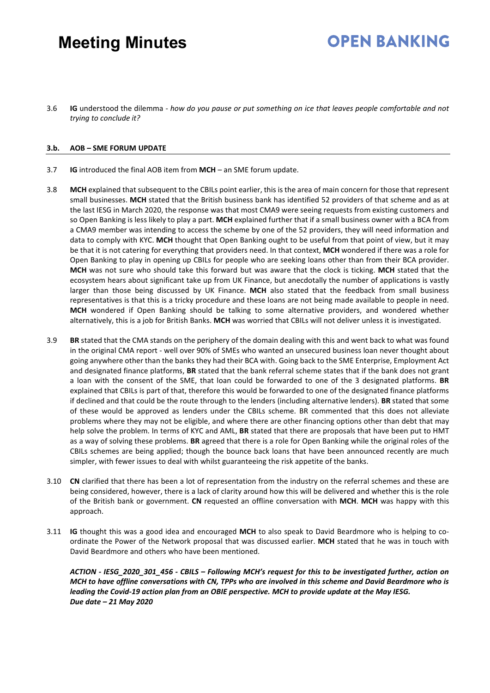# **OPEN BANKING**

3.6 **IG** understood the dilemma - *how do you pause or put something on ice that leaves people comfortable and not trying to conclude it?*

#### **3.b. AOB – SME FORUM UPDATE**

- 3.7 **IG** introduced the final AOB item from **MCH** an SME forum update.
- 3.8 **MCH** explained that subsequent to the CBILs point earlier, this is the area of main concern for those that represent small businesses. **MCH** stated that the British business bank has identified 52 providers of that scheme and as at the last IESG in March 2020, the response was that most CMA9 were seeing requests from existing customers and so Open Banking is less likely to play a part. **MCH** explained further that if a small business owner with a BCA from a CMA9 member was intending to access the scheme by one of the 52 providers, they will need information and data to comply with KYC. **MCH** thought that Open Banking ought to be useful from that point of view, but it may be that it is not catering for everything that providers need. In that context, **MCH** wondered if there was a role for Open Banking to play in opening up CBILs for people who are seeking loans other than from their BCA provider. **MCH** was not sure who should take this forward but was aware that the clock is ticking. **MCH** stated that the ecosystem hears about significant take up from UK Finance, but anecdotally the number of applications is vastly larger than those being discussed by UK Finance. **MCH** also stated that the feedback from small business representatives is that this is a tricky procedure and these loans are not being made available to people in need. **MCH** wondered if Open Banking should be talking to some alternative providers, and wondered whether alternatively, this is a job for British Banks. **MCH** was worried that CBILs will not deliver unless it is investigated.
- 3.9 **BR** stated that the CMA stands on the periphery of the domain dealing with this and went back to what was found in the original CMA report - well over 90% of SMEs who wanted an unsecured business loan never thought about going anywhere other than the banks they had their BCA with. Going back to the SME Enterprise, Employment Act and designated finance platforms, **BR** stated that the bank referral scheme states that if the bank does not grant a loan with the consent of the SME, that loan could be forwarded to one of the 3 designated platforms. **BR** explained that CBILs is part of that, therefore this would be forwarded to one of the designated finance platforms if declined and that could be the route through to the lenders (including alternative lenders). **BR** stated that some of these would be approved as lenders under the CBILs scheme. BR commented that this does not alleviate problems where they may not be eligible, and where there are other financing options other than debt that may help solve the problem. In terms of KYC and AML, **BR** stated that there are proposals that have been put to HMT as a way of solving these problems. **BR** agreed that there is a role for Open Banking while the original roles of the CBILs schemes are being applied; though the bounce back loans that have been announced recently are much simpler, with fewer issues to deal with whilst guaranteeing the risk appetite of the banks.
- 3.10 **CN** clarified that there has been a lot of representation from the industry on the referral schemes and these are being considered, however, there is a lack of clarity around how this will be delivered and whether this is the role of the British bank or government. **CN** requested an offline conversation with **MCH**. **MCH** was happy with this approach.
- 3.11 **IG** thought this was a good idea and encouraged **MCH** to also speak to David Beardmore who is helping to coordinate the Power of the Network proposal that was discussed earlier. **MCH** stated that he was in touch with David Beardmore and others who have been mentioned.

*ACTION - IESG\_2020\_301\_456 - CBILS – Following MCH's request for this to be investigated further, action on MCH to have offline conversations with CN, TPPs who are involved in this scheme and David Beardmore who is leading the Covid-19 action plan from an OBIE perspective. MCH to provide update at the May IESG. Due date – 21 May 2020*